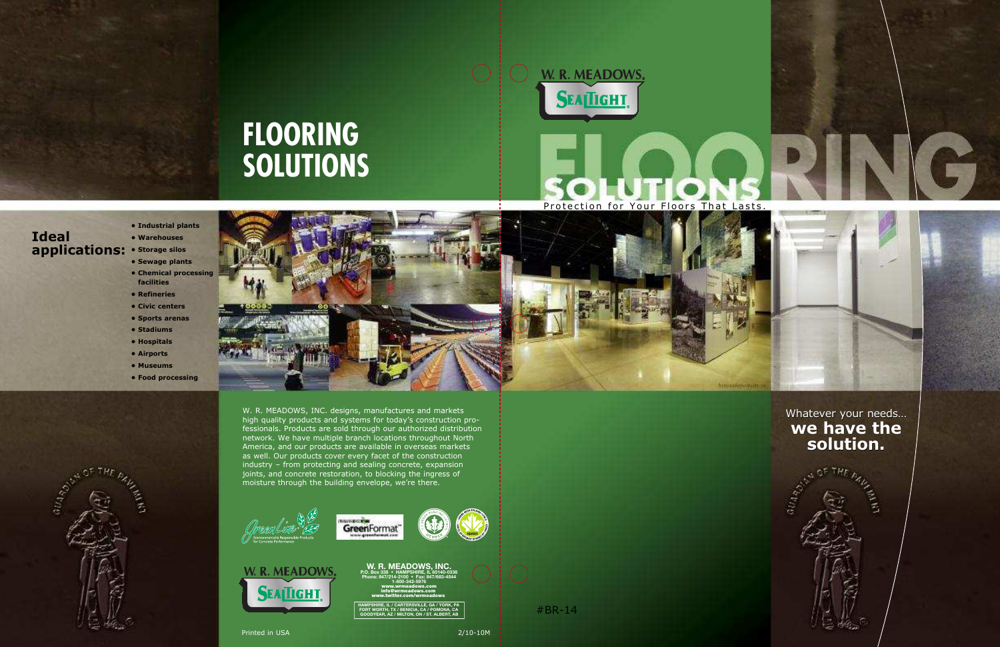W. R. MEADOWS, INC. designs, manufactures and markets high quality products and systems for today's construction professionals. Products are sold through our authorized distribution network. We have multiple branch locations throughout North America, and our products are available in overseas markets as well. Our products cover every facet of the construction industry – from protecting and sealing concrete, expansion joints, and concrete restoration, to blocking the ingress of moisture through the building envelope, we're there.









**EADOV P.O. Box 338 • HAMPSHIRE, IL 60140-0338 Phone: 847/214-2100 • Fax: 847/683-4544 1-800-342-5976** www.wrmeadows.com info@wrmeadows.com www.twitter.com/wrmeadows

#### **• Sewage plants • Chemical processing**

#### **• Industrial plants • Warehouses • Storage silos applications: Ideal**

- **facilities**
- **Refineries**
- **Civic centers**
- **Sports arenas**
- **Stadiums**
- **Hospitals**
- **Airports**
- **Museums**
- **Food processing**



Whatever your needs… **we have the solution.**

H

# **FLOORING SOLUTIONS**



# Protection for Your Floors That Lasts



#BR-14

**HAMPSHIRE, IL / CARTERSVILLE, GA / YORK, PA FORT WORTH, TX / BENICIA, CA / POMONA, CA GOODYEAR, AZ / MILTON, ON / ST. ALBERT, AB**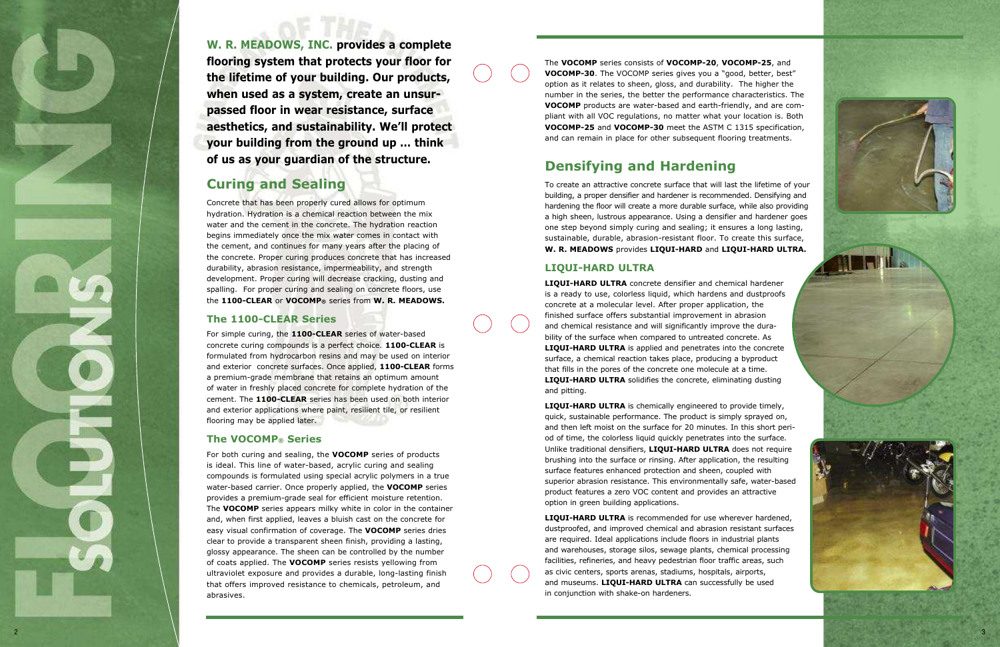**W. R. MEADOWS, INC. provides a complete flooring system that protects your floor for the lifetime of your building. Our products, when used as a system, create an unsurpassed floor in wear resistance, surface aesthetics, and sustainability. We'll protect your building from the ground up … think of us as your guardian of the structure.**

# **Curing and Sealing**

Concrete that has been properly cured allows for optimum hydration. Hydration is a chemical reaction between the mix water and the cement in the concrete. The hydration reaction begins immediately once the mix water comes in contact with the cement, and continues for many years after the placing of the concrete. Proper curing produces concrete that has increased durability, abrasion resistance, impermeability, and strength development. Proper curing will decrease cracking, dusting and spalling. For proper curing and sealing on concrete floors, use the **1100-CLEAR** or **VOCOMP ®** series from **W. R. MEADOWS.**

## **The 1100-CLEAR Series**

For simple curing, the **1100-CLEAR** series of water-based concrete curing compounds is a perfect choice. **1100-CLEAR** is formulated from hydrocarbon resins and may be used on interior and exterior concrete surfaces. Once applied, **1100-CLEAR** forms a premium-grade membrane that retains an optimum amount of water in freshly placed concrete for complete hydration of the cement. The **1100-CLEAR** series has been used on both interior and exterior applications where paint, resilient tile, or resilient flooring may be applied later.

# **The VOCOMP ® Series**

For both curing and sealing, the **VOCOMP** series of products is ideal. This line of water-based, acrylic curing and sealing compounds is formulated using special acrylic polymers in a true water-based carrier. Once properly applied, the **VOCOMP** series provides a premium-grade seal for efficient moisture retention. The **VOCOMP** series appears milky white in color in the container and, when first applied, leaves a bluish cast on the concrete for easy visual confirmation of coverage. The **VOCOMP** series dries clear to provide a transparent sheen finish, providing a lasting, glossy appearance. The sheen can be controlled by the number of coats applied. The **VOCOMP** series resists yellowing from ultraviolet exposure and provides a durable, long-lasting finish that offers improved resistance to chemicals, petroleum, and abrasives.

The **VOCOMP** series consists of **VOCOMP-20** , **VOCOMP-25**, and **VOCOMP-30**. The VOCOMP series gives you a "good, better, best" option as it relates to sheen, gloss, and durability. The higher the number in the series, the better the performance characteristics. The **VOCOMP** products are water-based and earth-friendly, and are compliant with all VOC regulations, no matter what your location is. Both **VOCOMP-25** and **VOCOMP-30** meet the ASTM C 1315 specification, and can remain in place for other subsequent flooring treatments.

# **Densifying and Hardening**

To create an attractive concrete surface that will last the lifetime of your building, a proper densifier and hardener is recommended. Densifying and hardening the floor will create a more durable surface, while also providing a high sheen, lustrous appearance. Using a densifier and hardener goes one step beyond simply curing and sealing; it ensures a long lasting, sustainable, durable, abrasion-resistant floor. To create this surface, **W. R. MEADOWS** provides **LIQUI-HARD** and **LIQUI-HARD ULTRA.**

## **LIQUI-HARD ULTRA**

**LIQUI-HARD ULTRA** concrete densifier and chemical hardener is a ready to use, colorless liquid, which hardens and dustproofs concrete at a molecular level. After proper application, the finished surface offers substantial improvement in abrasion and chemical resistance and will significantly improve the durability of the surface when compared to untreated concrete. As **LIQUI-HARD ULTRA** is applied and penetrates into the concrete surface, a chemical reaction takes place, producing a byproduct that fills in the pores of the concrete one molecule at a time. **LIQUI-HARD ULTRA** solidifies the concrete, eliminating dusting and pitting.

**LIQUI-HARD ULTRA** is chemically engineered to provide timely, quick, sustainable performance. The product is simply sprayed on, and then left moist on the surface for 20 minutes. In this short period of time, the colorless liquid quickly penetrates into the surface. Unlike traditional densifiers, **LIQUI-HARD ULTRA** does not require brushing into the surface or rinsing. After application, the resulting surface features enhanced protection and sheen, coupled with superior abrasion resistance. This environmentally safe, water-based product features a zero VOC content and provides an attractive option in green building applications.

**LIQUI-HARD ULTRA** is recommended for use wherever hardened, dustproofed, and improved chemical and abrasion resistant surfaces are required. Ideal applications include floors in industrial plants and warehouses, storage silos, sewage plants, chemical processing facilities, refineries, and heavy pedestrian floor traffic areas, such as civic centers, sports arenas, stadiums, hospitals, airports, and museums. **LIQUI-HARD ULTRA** can successfully be used in conjunction with shake-on hardeners.

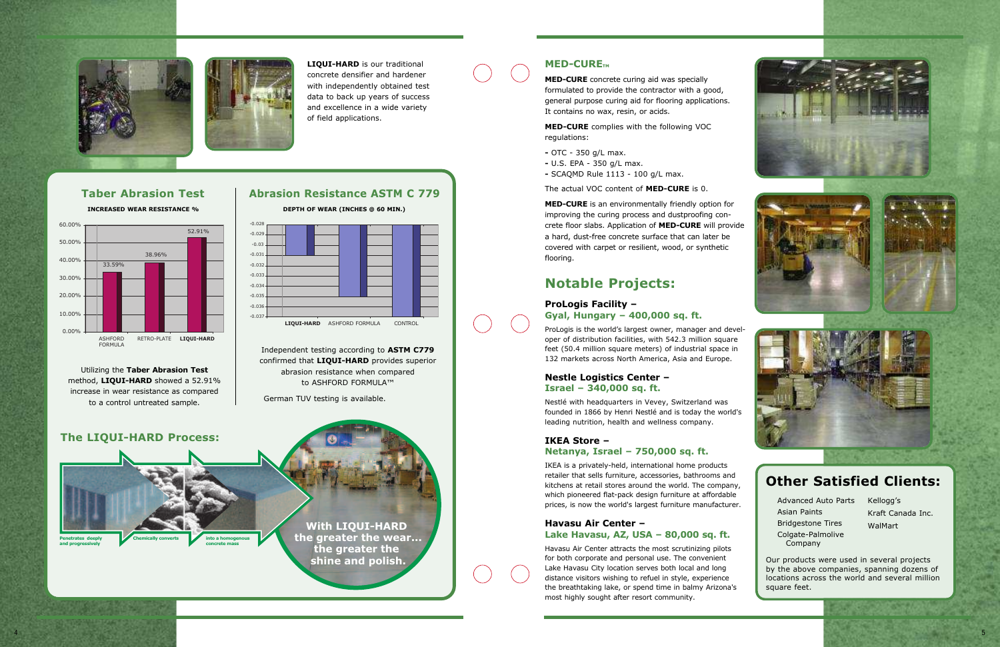**MED-CURE** concrete curing aid was specially formulated to provide the contractor with a good, general purpose curing aid for flooring applications. It contains no wax, resin, or acids.

**MED-CURE** complies with the following VOC regulations:

- **-** OTC 350 g/L max.
- **-** U.S. EPA 350 g/L max.
- **-** SCAQMD Rule 1113 100 g/L max.

The actual VOC content of **MED-CURE** is 0.

**MED-CURE** is an environmentally friendly option for improving the curing process and dustproofing concrete floor slabs. Application of **MED-CURE** will provide a hard, dust-free concrete surface that can later be covered with carpet or resilient, wood, or synthetic flooring.

# **Notable Projects:**

#### **ProLogis Facility –**

#### **Gyal, Hungary – 400,000 sq. ft.**

ProLogis is the world's largest owner, manager and developer of distribution facilities, with 542.3 million square feet (50.4 million square meters) of industrial space in 132 markets across North America, Asia and Europe.

### **Nestle Logistics Center – Israel – 340,000 sq. ft.**

Nestlé with headquarters in Vevey, Switzerland was founded in 1866 by Henri Nestlé and is today the world's leading nutrition, health and wellness company.

#### **IKEA Store – Netanya, Israel – 750,000 sq. ft.**

IKEA is a privately-held, international home products retailer that sells furniture, accessories, bathrooms and kitchens at retail stores around the world. The company, which pioneered flat-pack design furniture at affordable prices, is now the world's largest furniture manufacturer.

# **Havasu Air Center –**

**Lake Havasu, AZ, USA – 80,000 sq. ft.**

Havasu Air Center attracts the most scrutinizing pilots for both corporate and personal use. The convenient Lake Havasu City location serves both local and long distance visitors wishing to refuel in style, experience the breathtaking lake, or spend time in balmy Arizona's most highly sought after resort community.









Our products were used in several projects by the above companies, spanning dozens of locations across the world and several million square feet.

Advanced Auto Parts Kellogg's Asian Paints Bridgestone Tires Colgate-Palmolive Company

Kraft Canada Inc. WalMart

# **Other Satisfied Clients:**





**LIQUI-HARD** is our traditional concrete densifier and hardener with independently obtained test data to back up years of success and excellence in a wide variety of field applications.



### **MED-CURE**<sub>TM</sub>





# **Taber Abrasion Test Abrasion Resistance ASTM C 779**



Utilizing the **Taber Abrasion Test** method, **LIQUI-HARD** showed a 52.91% increase in wear resistance as compared to a control untreated sample.

Independent testing according to **ASTM C779** confirmed that **LIQUI-HARD** provides superior abrasion resistance when compared to ASHFORD FORMULA™

German TUV testing is available.